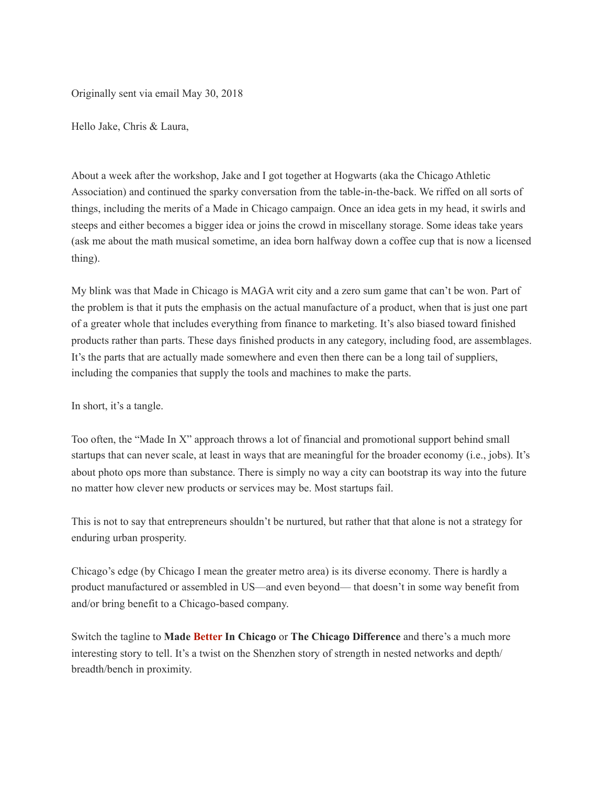Originally sent via email May 30, 2018

Hello Jake, Chris & Laura,

About a week after the workshop, Jake and I got together at Hogwarts (aka the Chicago Athletic Association) and continued the sparky conversation from the table-in-the-back. We riffed on all sorts of things, including the merits of a Made in Chicago campaign. Once an idea gets in my head, it swirls and steeps and either becomes a bigger idea or joins the crowd in miscellany storage. Some ideas take years (ask me about the math musical sometime, an idea born halfway down a coffee cup that is now a licensed thing).

My blink was that Made in Chicago is MAGA writ city and a zero sum game that can't be won. Part of the problem is that it puts the emphasis on the actual manufacture of a product, when that is just one part of a greater whole that includes everything from finance to marketing. It's also biased toward finished products rather than parts. These days finished products in any category, including food, are assemblages. It's the parts that are actually made somewhere and even then there can be a long tail of suppliers, including the companies that supply the tools and machines to make the parts.

In short, it's a tangle.

Too often, the "Made In X" approach throws a lot of financial and promotional support behind small startups that can never scale, at least in ways that are meaningful for the broader economy (i.e., jobs). It's about photo ops more than substance. There is simply no way a city can bootstrap its way into the future no matter how clever new products or services may be. Most startups fail.

This is not to say that entrepreneurs shouldn't be nurtured, but rather that that alone is not a strategy for enduring urban prosperity.

Chicago's edge (by Chicago I mean the greater metro area) is its diverse economy. There is hardly a product manufactured or assembled in US—and even beyond— that doesn't in some way benefit from and/or bring benefit to a Chicago-based company.

Switch the tagline to **Made Better In Chicago** or **The Chicago Difference** and there's a much more interesting story to tell. It's a twist on the Shenzhen story of strength in nested networks and depth/ breadth/bench in proximity.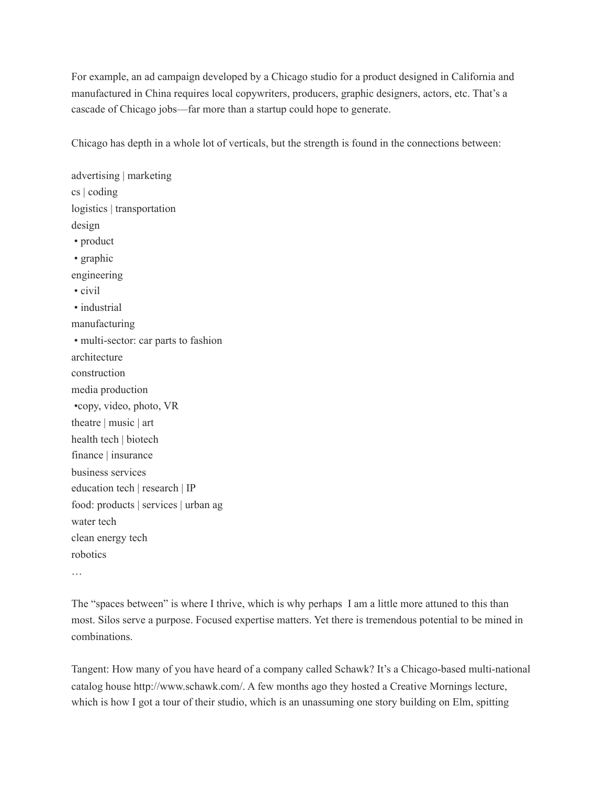For example, an ad campaign developed by a Chicago studio for a product designed in California and manufactured in China requires local copywriters, producers, graphic designers, actors, etc. That's a cascade of Chicago jobs—far more than a startup could hope to generate.

Chicago has depth in a whole lot of verticals, but the strength is found in the connections between:

advertising | marketing cs | coding logistics | transportation design • product • graphic engineering • civil • industrial manufacturing • multi-sector: car parts to fashion architecture construction media production •copy, video, photo, VR theatre | music | art health tech | biotech finance | insurance business services education tech | research | IP food: products | services | urban ag water tech clean energy tech robotics

…

The "spaces between" is where I thrive, which is why perhaps I am a little more attuned to this than most. Silos serve a purpose. Focused expertise matters. Yet there is tremendous potential to be mined in combinations.

Tangent: How many of you have heard of a company called Schawk? It's a Chicago-based multi-national catalog house http://www.schawk.com/. A few months ago they hosted a Creative Mornings lecture, which is how I got a tour of their studio, which is an unassuming one story building on Elm, spitting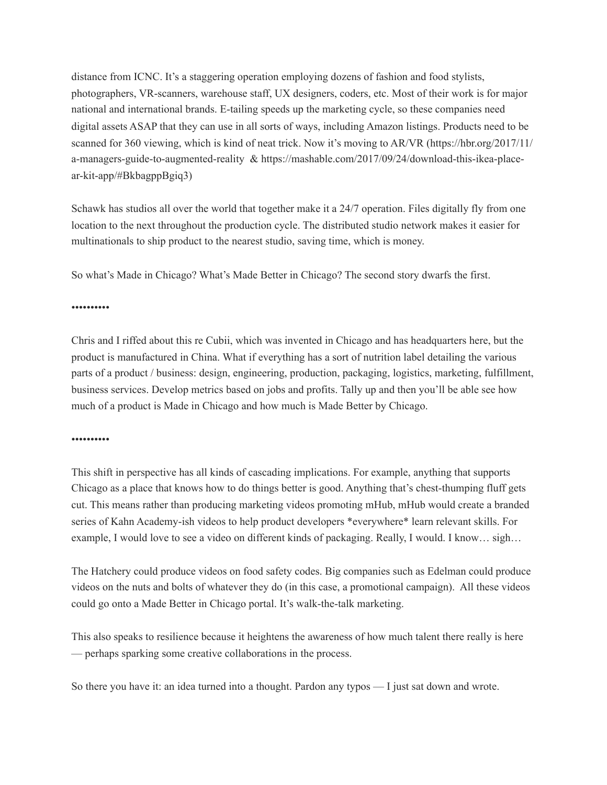distance from ICNC. It's a staggering operation employing dozens of fashion and food stylists, photographers, VR-scanners, warehouse staff, UX designers, coders, etc. Most of their work is for major national and international brands. E-tailing speeds up the marketing cycle, so these companies need digital assets ASAP that they can use in all sorts of ways, including Amazon listings. Products need to be scanned for 360 viewing, which is kind of neat trick. Now it's moving to AR/VR (https://hbr.org/2017/11/ a-managers-guide-to-augmented-reality & https://mashable.com/2017/09/24/download-this-ikea-placear-kit-app/#BkbagppBgiq3)

Schawk has studios all over the world that together make it a 24/7 operation. Files digitally fly from one location to the next throughout the production cycle. The distributed studio network makes it easier for multinationals to ship product to the nearest studio, saving time, which is money.

So what's Made in Chicago? What's Made Better in Chicago? The second story dwarfs the first.

## ••••••••••

Chris and I riffed about this re Cubii, which was invented in Chicago and has headquarters here, but the product is manufactured in China. What if everything has a sort of nutrition label detailing the various parts of a product / business: design, engineering, production, packaging, logistics, marketing, fulfillment, business services. Develop metrics based on jobs and profits. Tally up and then you'll be able see how much of a product is Made in Chicago and how much is Made Better by Chicago.

••••••••••

This shift in perspective has all kinds of cascading implications. For example, anything that supports Chicago as a place that knows how to do things better is good. Anything that's chest-thumping fluff gets cut. This means rather than producing marketing videos promoting mHub, mHub would create a branded series of Kahn Academy-ish videos to help product developers \*everywhere\* learn relevant skills. For example, I would love to see a video on different kinds of packaging. Really, I would. I know… sigh…

The Hatchery could produce videos on food safety codes. Big companies such as Edelman could produce videos on the nuts and bolts of whatever they do (in this case, a promotional campaign). All these videos could go onto a Made Better in Chicago portal. It's walk-the-talk marketing.

This also speaks to resilience because it heightens the awareness of how much talent there really is here — perhaps sparking some creative collaborations in the process.

So there you have it: an idea turned into a thought. Pardon any typos — I just sat down and wrote.